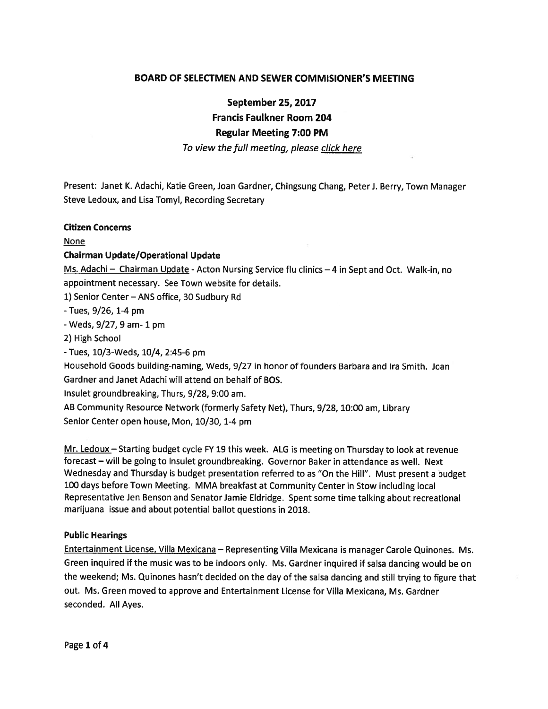# BOARD OF SELECTMEN AND SEWER COMMISIONER'S MEETING

September 25, 2017

Francis Faulkner Room 204

## Regular Meeting 7:00 PM

### To view the full meeting, please click here

Present: Janet K. Adachi, Katie Green, Joan Gardner, Chingsung Chang, PeterJ. Berry, Town Manager Steve Ledoux, and Lisa Tomyl, Recording Secretary

#### Citizen Concerns

None

### Chairman Update/Operational Update

Ms. Adachi - Chairman Update - Acton Nursing Service flu clinics - 4 in Sept and Oct. Walk-in, no appointment necessary. See Town website for details.

1) Senior Center—ANS office, 30 Sudbury Rd

-Tues, 9/26, 1-4 pm

 $-$  Weds,  $9/27$ , 9 am $-1$  pm

2) High School

-Tues, 10/3-Weds, 10/4, 2:45-6 pm

Household Goods building-naming, Weds, 9/27 in honor of founders Barbara and Ira Smith. Joan Gardner and Janet Adachi will attend on behalf of BOS.

Insulet groundbreaking, Thurs, 9/28, 9:00 am.

AB Community Resource Network (formerly Safety Net), Thurs, 9/28, 10:00 am, Library Senior Center open house, Mon, 10/30, 1-4 pm

Mr. Ledoux - Starting budget cycle FY 19 this week. ALG is meeting on Thursday to look at revenue forecast — will be going to Insulet groundbreaking. Governor Baker in attendance as well. Next Wednesday and Thursday is budget presentation referred to as "On the Hill". Must presen<sup>t</sup> <sup>a</sup> budget <sup>100</sup> days before Town Meeting. MMA breakfast at Community Center in Stow including local Representative Jen Benson and Senator Jamie Eldridge. Spent some time talking about recreational marijuana issue and about potential ballot questions in 2018.

#### Public Hearings

Entertainment License, Villa Mexicana — Representing Villa Mexicana is manager Carole Quinones. Ms. Green inquired if the music was to be indoors only. Ms. Gardner inquired if salsa dancing would be on the weekend; Ms. Quinones hasn't decided on the day of the salsa dancing and still trying to figure that out. Ms. Green moved to approve and Entertainment License for Villa Mexicana, Ms. Gardner seconded. All Ayes.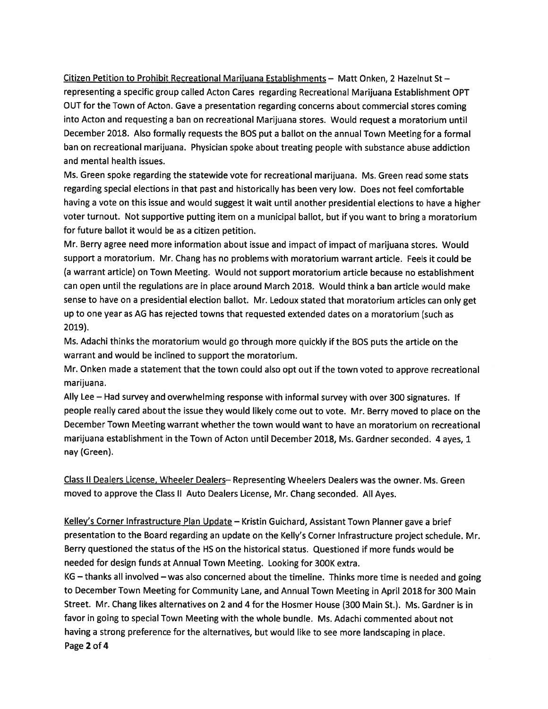Citizen Petition to Prohibit Recreational Mariiuana Establishments — Matt Onken, 2 Hazelnut St representing <sup>a</sup> specific group called Acton Cares regarding Recreational Marijuana Establishment OPT OUT for the Town of Acton. Gave <sup>a</sup> presentation regarding concerns about commercial stores coming into Acton and requesting <sup>a</sup> ban on recreational Marijuana stores. Would reques<sup>t</sup> <sup>a</sup> moratorium until December 2018. Also formally requests the BOS pu<sup>t</sup> <sup>a</sup> ballot on the annual Town Meeting for <sup>a</sup> formal ban on recreational marijuana. Physician spoke about treating people with substance abuse addiction and mental health issues.

Ms. Green spoke regarding the statewide vote for recreational marijuana. Ms. Green read some stats regarding special elections in that pas<sup>t</sup> and historically has been very low. Does not feel comfortable having <sup>a</sup> vote on this issue and would sugges<sup>t</sup> it wait until another presidential elections to have <sup>a</sup> higher voter turnout. Not supportive putting item on <sup>a</sup> municipal ballot, but if you want to bring <sup>a</sup> moratorium for future ballot it would be as <sup>a</sup> citizen petition.

Mr. Berry agree need more information about issue and impact of impact of marijuana stores. Would suppor<sup>t</sup> <sup>a</sup> moratorium. Mr. Chang has no problems with moratorium warrant article. Feels it could be (a warrant article) on Town Meeting. Would not suppor<sup>t</sup> moratorium article because no establishment can open until the regulations are in place around March 2018. Would think <sup>a</sup> ban article would make sense to have on <sup>a</sup> presidential election ballot. Mr. Ledoux stated that moratorium articles can only ge<sup>t</sup> up to one year as AG has rejected towns that requested extended dates on <sup>a</sup> moratorium (such as 2019).

Ms. Adachi thinks the moratorium would go through more quickly if the BOS puts the article on the warrant and would be inclined to suppor<sup>t</sup> the moratorium.

Mr. Onken made <sup>a</sup> statement that the town could also op<sup>t</sup> out if the town voted to approve recreational marijuana.

Ally Lee — Had survey and overwhelming response with informal survey with over <sup>300</sup> signatures. If people really cared about the issue they would likely come out to vote. Mr. Berry moved to <sup>p</sup>lace on the December Town Meeting warrant whether the town would want to have an moratorium on recreational marijuana establishment in the Town of Acton until December 2018, Ms. Gardner seconded. <sup>4</sup> ayes, <sup>1</sup> nay (Green).

Class II Dealers License, Wheeler Dealers— Representing Wheelers Dealers was the owner. Ms. Green moved to approve the Class II Auto Dealers License, Mr. Chang seconded. All Ayes.

Kelley's Corner Infrastructure Plan Update - Kristin Guichard, Assistant Town Planner gave a brief presentation to the Board regarding an update on the Kelly's Corner Infrastructure project schedule. Mr. Berry questioned the status of the HS on the historical status. Questioned if more funds would be needed for design funds at Annual Town Meeting. Looking for 300K extra.

KG — thanks all involved — was also concerned about the timeline. Thinks more time is needed and going to December Town Meeting for Community Lane, and Annual Town Meeting in April <sup>2018</sup> for <sup>300</sup> Main Street. Mr. Chang likes alternatives on 2 and 4 for the Hosmet House (300 Main St.). Ms. Gardner is in favor in going to special Town Meeting with the whole bundle. Ms. Adachi commented about not having <sup>a</sup> strong preference for the alternatives, but would like to see more landscaping in <sup>p</sup>lace. Page 2 of 4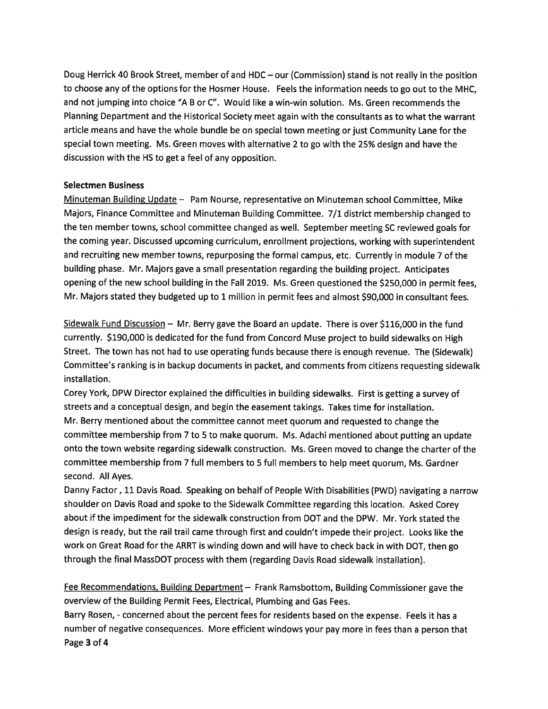Doug Herrick <sup>40</sup> Brook Street, member of and HDC — our (Commission) stand is not really in the position to choose any of the options for the Hosmer House. Feels the information needs to go out to the MHC, and not jumping into choice "A B or C". Would like <sup>a</sup> win-win solution. Ms. Green recommends the Planning Department and the Historical Society meet again with the consultants as to what the warrant article means and have the whole bundle be on special town meeting or just Community Lane for the special town meeting. Ms. Green moves with alternative <sup>2</sup> to go with the 25% design and have the discussion with the HS to ge<sup>t</sup> <sup>a</sup> feel of any opposition.

## Selectmen Business

Minuteman Building Update — Pam Nourse, representative on Minuteman school Committee, Mike Majors, Finance Committee and Minuteman Building Committee. 7/1 district membership changed to the ten member towns, school committee changed as well. September meeting SC reviewed goals for the coming year. Discussed upcoming curriculum, enrollment projections, working with superintendent and recruiting new member towns, repurposing the formal campus, etc. Currently in module <sup>7</sup> of the building <sup>p</sup>hase. Mr. Majors gave <sup>a</sup> small presentation regarding the building project. Anticipates opening of the new school building in the Fall 2019. Ms. Green questioned the \$250,000 in permit fees, Mr. Majors stated they budgeted up to 1 million in permit fees and almost \$90,000 in consultant fees.

Sidewalk Fund Discussion  $-$  Mr. Berry gave the Board an update. There is over \$116,000 in the fund currently. \$190,000 is dedicated for the fund from Concord Muse project to build sidewalks on High Street. The town has not had to use operating funds because there is enoug<sup>h</sup> revenue. The (Sidewalk) Committee's ranking is in backup documents in packet, and comments from citizens requesting sidewalk installation.

Corey York, DPW Director explained the difficulties in building sidewalks. First is getting <sup>a</sup> survey of streets and <sup>a</sup> conceptual design, and begin the easement takings. Takes time for installation. Mr. Berry mentioned about the committee cannot meet quorum and requested to change the committee membership from <sup>7</sup> to <sup>5</sup> to make quorum. Ms. Adachi mentioned about putting an update onto the town website regarding sidewalk construction. Ms. Green moved to change the charter of the committee membership from <sup>7</sup> full members to 5 full members to help meet quorum, Ms. Gardner second. All Ayes.

Danny Factor, <sup>11</sup> Davis Road. Speaking on behalf of People With Disabilities (PWD) navigating <sup>a</sup> narrow shoulder on Davis Road and spoke to the Sidewalk Committee regarding this location. Asked Corey about if the impediment for the sidewalk construction from DOT and the DPW. Mr. York stated the design is ready, but the rail trail came through first and couldn't impede their project. Looks like the work on Great Road for the ARRT is winding down and will have to check back in with DOT, then go through the final MassDOT process with them (regarding Davis Road sidewalk installation).

Fee Recommendations, Building Department — Frank Ramsbottom, Building Commissioner gave the overview of the Building Permit Fees, Electrical, Plumbing and Gas Fees.

Barry Rosen, - concerned about the percen<sup>t</sup> fees for residents based on the expense. Feels it has <sup>a</sup> number of negative consequences. More efficient windows your pay more in fees than <sup>a</sup> person that Page 3 of 4